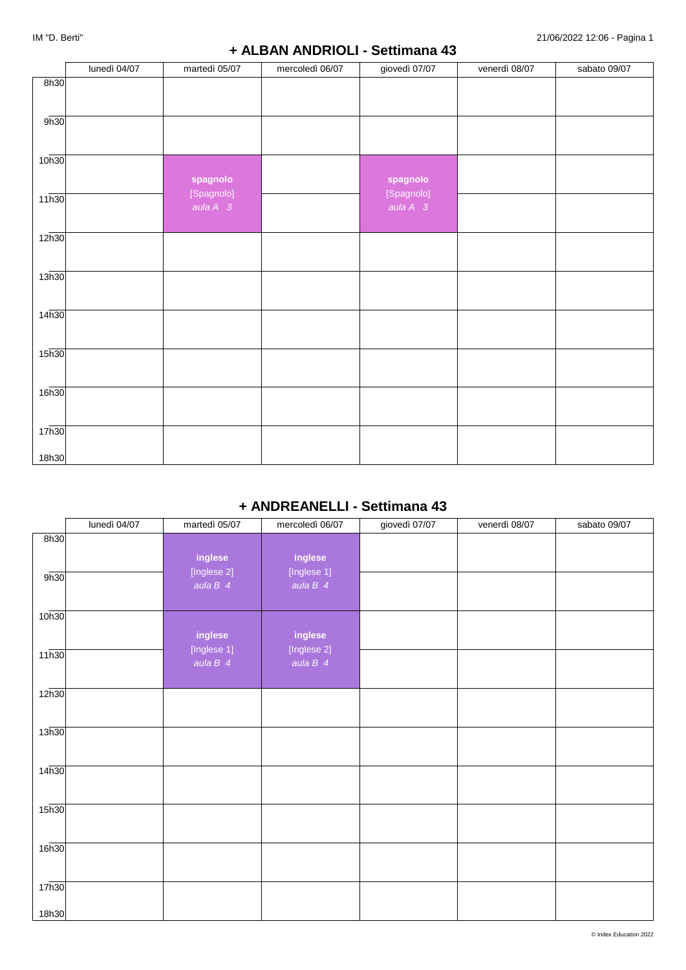### **+ ALBAN ANDRIOLI - Settimana 43**

|                   | lunedì 04/07 | martedì 05/07                  | mercoledì 06/07 | giovedì 07/07                  | venerdì 08/07 | sabato 09/07 |
|-------------------|--------------|--------------------------------|-----------------|--------------------------------|---------------|--------------|
| 8h30              |              |                                |                 |                                |               |              |
| 9h30              |              |                                |                 |                                |               |              |
| 10h30             |              | spagnolo                       |                 | spagnolo                       |               |              |
| 11h30             |              | [Spagnolo]<br>aula $A \quad 3$ |                 | [Spagnolo]<br>aula $A \quad 3$ |               |              |
| 12h30             |              |                                |                 |                                |               |              |
| 13h30             |              |                                |                 |                                |               |              |
| 14 <sub>h30</sub> |              |                                |                 |                                |               |              |
| 15h30             |              |                                |                 |                                |               |              |
| 16 <sub>h30</sub> |              |                                |                 |                                |               |              |
| 17 <sub>h30</sub> |              |                                |                 |                                |               |              |
| 18h30             |              |                                |                 |                                |               |              |

## **+ ANDREANELLI - Settimana 43**

|                   | lunedì 04/07 | martedì 05/07                        | mercoledì 06/07                      | giovedì 07/07 | venerdì 08/07 | sabato 09/07 |
|-------------------|--------------|--------------------------------------|--------------------------------------|---------------|---------------|--------------|
| 8h30              |              |                                      |                                      |               |               |              |
| 9h30              |              | inglese<br>[Inglese 2]<br>aula $B$ 4 | inglese<br>[Inglese 1]<br>aula $B$ 4 |               |               |              |
| 10h30             |              |                                      |                                      |               |               |              |
| 11h30             |              | inglese<br>[Inglese 1]<br>aula $B$ 4 | inglese<br>[Inglese 2]<br>aula $B$ 4 |               |               |              |
| 12 <sub>h30</sub> |              |                                      |                                      |               |               |              |
| 13h30             |              |                                      |                                      |               |               |              |
| 14 <sub>h30</sub> |              |                                      |                                      |               |               |              |
| 15 <sub>h30</sub> |              |                                      |                                      |               |               |              |
| 16h30             |              |                                      |                                      |               |               |              |
| 17 <sub>h30</sub> |              |                                      |                                      |               |               |              |
| 18h30             |              |                                      |                                      |               |               |              |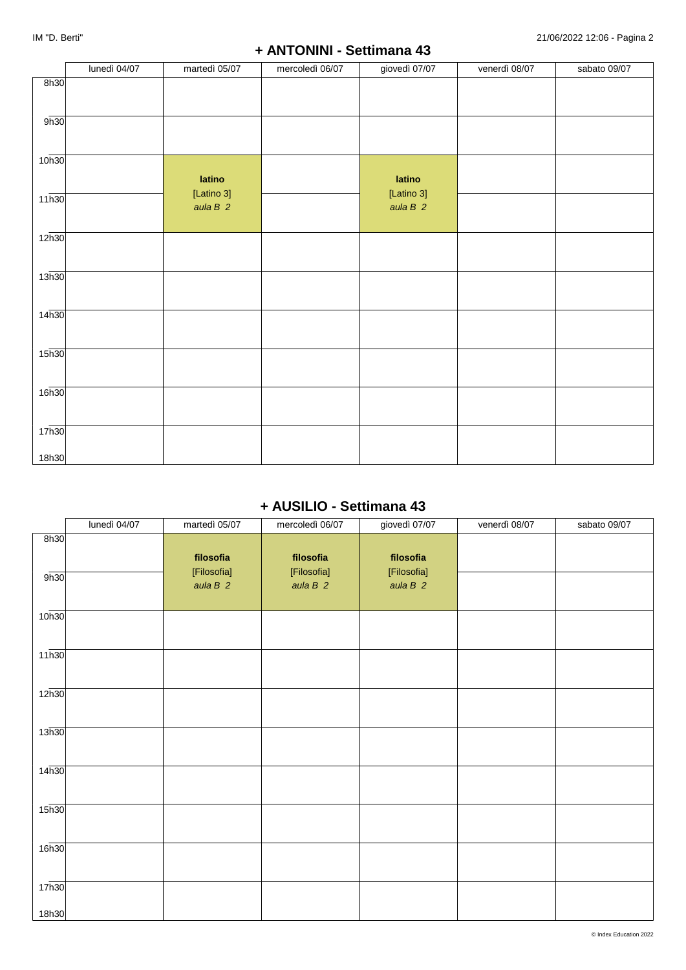|                   | lunedì 04/07 | martedì 05/07           | mercoledì 06/07 | giovedì 07/07           | venerdì 08/07 | sabato 09/07 |
|-------------------|--------------|-------------------------|-----------------|-------------------------|---------------|--------------|
| 8h30              |              |                         |                 |                         |               |              |
| 9h30              |              |                         |                 |                         |               |              |
| 10h30             |              | latino                  |                 | latino                  |               |              |
| 11h30             |              | [Latino 3]<br>aula $B2$ |                 | [Latino 3]<br>aula $B2$ |               |              |
| 12h30             |              |                         |                 |                         |               |              |
| 13h30             |              |                         |                 |                         |               |              |
| 14 <sub>h30</sub> |              |                         |                 |                         |               |              |
| 15h30             |              |                         |                 |                         |               |              |
| 16h30             |              |                         |                 |                         |               |              |
| 17h30             |              |                         |                 |                         |               |              |
| 18h30             |              |                         |                 |                         |               |              |

## **+ AUSILIO - Settimana 43**

|                            | lunedì 04/07 | martedì 05/07            | mercoledì 06/07          | giovedì 07/07            | venerdì 08/07 | sabato 09/07 |
|----------------------------|--------------|--------------------------|--------------------------|--------------------------|---------------|--------------|
| 8h30                       |              | filosofia                | filosofia                | filosofia                |               |              |
| 9h30                       |              | [Filosofia]<br>aula $B2$ | [Filosofia]<br>aula $B2$ | [Filosofia]<br>aula $B2$ |               |              |
| 10 <sub>h30</sub>          |              |                          |                          |                          |               |              |
| 11h30                      |              |                          |                          |                          |               |              |
| 12 <sub>h30</sub>          |              |                          |                          |                          |               |              |
| 13h30                      |              |                          |                          |                          |               |              |
| 14 <sub>h30</sub>          |              |                          |                          |                          |               |              |
| 15 <sub>h30</sub>          |              |                          |                          |                          |               |              |
| 16h30                      |              |                          |                          |                          |               |              |
| 17 <sub>h30</sub><br>18h30 |              |                          |                          |                          |               |              |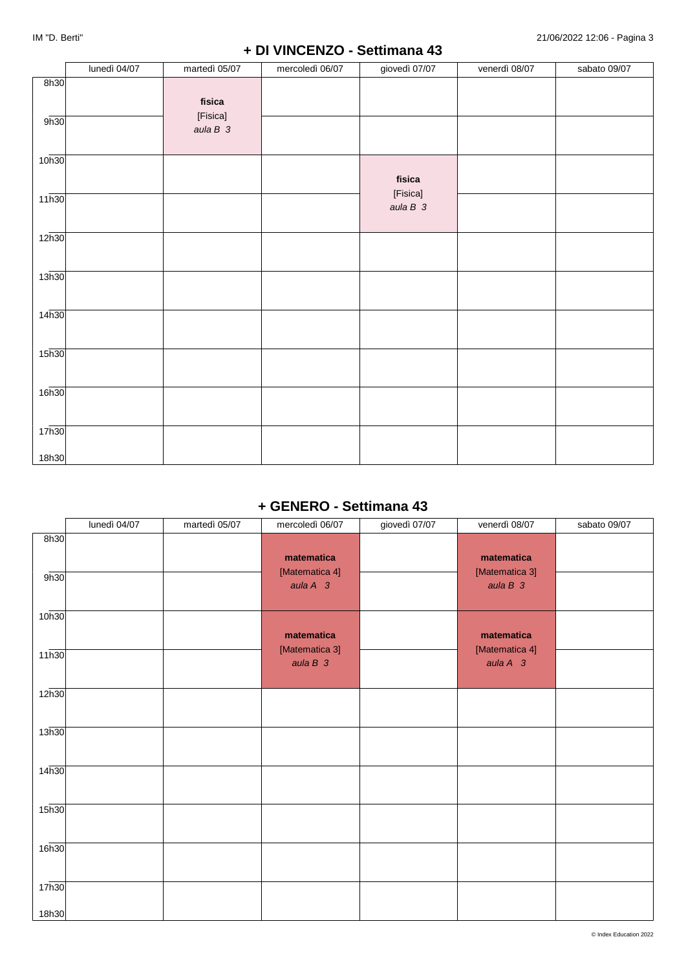## **+ DI VINCENZO - Settimana 43**

|                   | lunedì 04/07 | martedì 05/07                   | mercoledì 06/07 | giovedì 07/07                   | venerdì 08/07 | sabato 09/07 |
|-------------------|--------------|---------------------------------|-----------------|---------------------------------|---------------|--------------|
| 8h30              |              |                                 |                 |                                 |               |              |
| 9h30              |              | fisica<br>[Fisica]<br>aula $B3$ |                 |                                 |               |              |
| 10 <sub>h30</sub> |              |                                 |                 |                                 |               |              |
| 11h30             |              |                                 |                 | fisica<br>[Fisica]<br>aula $B3$ |               |              |
| 12h30             |              |                                 |                 |                                 |               |              |
| 13h30             |              |                                 |                 |                                 |               |              |
| 14 <sub>h30</sub> |              |                                 |                 |                                 |               |              |
|                   |              |                                 |                 |                                 |               |              |
| 15h30             |              |                                 |                 |                                 |               |              |
| 16 <sub>h30</sub> |              |                                 |                 |                                 |               |              |
| 17 <sub>h30</sub> |              |                                 |                 |                                 |               |              |
| 18h30             |              |                                 |                 |                                 |               |              |

## **+ GENERO - Settimana 43**

|                            | lunedì 04/07 | martedì 05/07 | mercoledì 06/07                                  | giovedì 07/07 | venerdì 08/07                             | sabato 09/07 |
|----------------------------|--------------|---------------|--------------------------------------------------|---------------|-------------------------------------------|--------------|
| 8h30<br>9h30               |              |               | matematica<br>[Matematica 4]<br>aula $A \quad 3$ |               | matematica<br>[Matematica 3]<br>aula $B3$ |              |
| 10 <sub>h30</sub>          |              |               | matematica                                       |               | matematica                                |              |
| 11h30                      |              |               | [Matematica 3]<br>aula $B3$                      |               | [Matematica 4]<br>aula $A$ 3              |              |
| 12 <sub>h30</sub>          |              |               |                                                  |               |                                           |              |
| 13h30                      |              |               |                                                  |               |                                           |              |
| 14h30                      |              |               |                                                  |               |                                           |              |
| 15 <sub>h30</sub>          |              |               |                                                  |               |                                           |              |
| 16h30                      |              |               |                                                  |               |                                           |              |
| 17 <sub>h30</sub><br>18h30 |              |               |                                                  |               |                                           |              |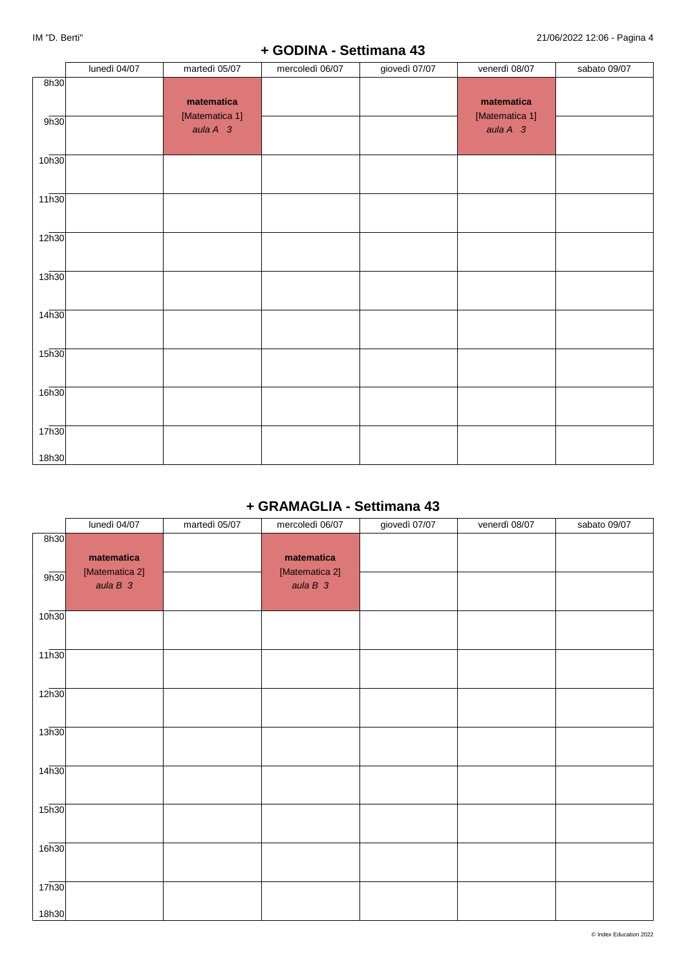## **+ GODINA - Settimana 43**

|                   | lunedì 04/07 | martedì 05/07                | mercoledì 06/07 | giovedì 07/07 | venerdì 08/07                | sabato 09/07 |
|-------------------|--------------|------------------------------|-----------------|---------------|------------------------------|--------------|
| 8h30              |              | matematica<br>[Matematica 1] |                 |               | matematica<br>[Matematica 1] |              |
| 9h30              |              | aula $A$ 3                   |                 |               | aula $A$ 3                   |              |
| 10 <sub>h30</sub> |              |                              |                 |               |                              |              |
| 11h30             |              |                              |                 |               |                              |              |
| 12h30             |              |                              |                 |               |                              |              |
| 13h30             |              |                              |                 |               |                              |              |
| 14 <sub>h30</sub> |              |                              |                 |               |                              |              |
| 15h30             |              |                              |                 |               |                              |              |
| 16 <sub>h30</sub> |              |                              |                 |               |                              |              |
| 17 <sub>h30</sub> |              |                              |                 |               |                              |              |
| 18h30             |              |                              |                 |               |                              |              |

# **+ GRAMAGLIA - Settimana 43**

|                            | lunedì 04/07                              | martedì 05/07 | mercoledì 06/07                           | giovedì 07/07 | venerdì 08/07 | sabato 09/07 |
|----------------------------|-------------------------------------------|---------------|-------------------------------------------|---------------|---------------|--------------|
| 8h30<br>9h30               | matematica<br>[Matematica 2]<br>aula $B3$ |               | matematica<br>[Matematica 2]<br>aula $B3$ |               |               |              |
| 10 <sub>h30</sub>          |                                           |               |                                           |               |               |              |
| 11h30                      |                                           |               |                                           |               |               |              |
| 12 <sub>h30</sub>          |                                           |               |                                           |               |               |              |
| 13h30                      |                                           |               |                                           |               |               |              |
| 14h30                      |                                           |               |                                           |               |               |              |
| 15 <sub>h30</sub>          |                                           |               |                                           |               |               |              |
| 16h30                      |                                           |               |                                           |               |               |              |
| 17 <sub>h30</sub><br>18h30 |                                           |               |                                           |               |               |              |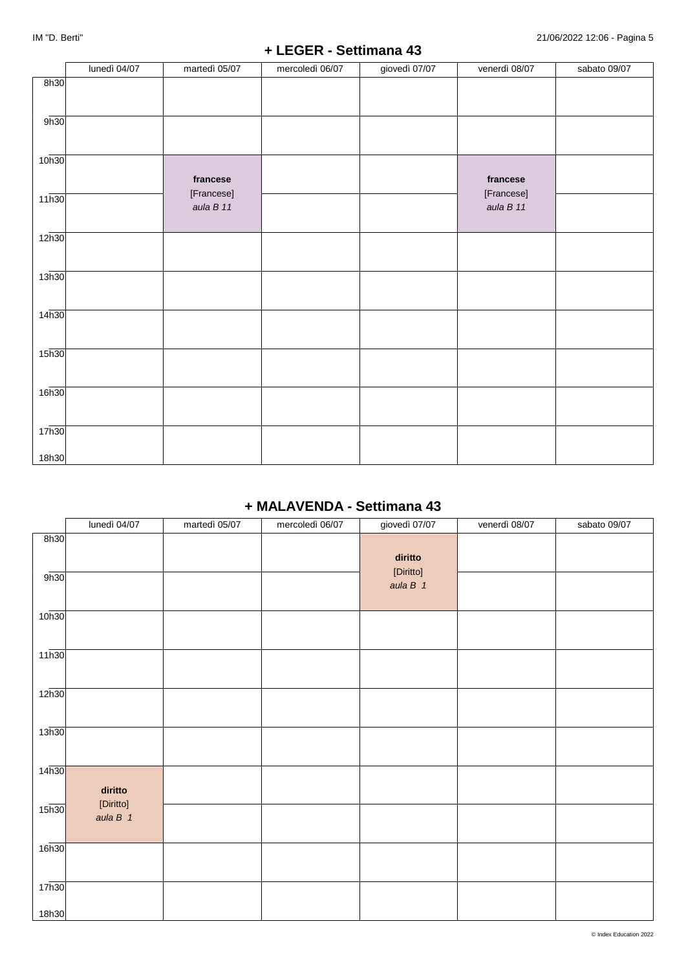### **+ LEGER - Settimana 43**

|                   | lunedì 04/07 | martedì 05/07           | mercoledì 06/07 | giovedì 07/07 | venerdì 08/07           | sabato 09/07 |
|-------------------|--------------|-------------------------|-----------------|---------------|-------------------------|--------------|
| 8h30              |              |                         |                 |               |                         |              |
| 9h30              |              |                         |                 |               |                         |              |
| 10 <sub>h30</sub> |              | francese                |                 |               | francese                |              |
| 11h30             |              | [Francese]<br>aula B 11 |                 |               | [Francese]<br>aula B 11 |              |
| 12h30             |              |                         |                 |               |                         |              |
| 13h30             |              |                         |                 |               |                         |              |
| 14 <sub>h30</sub> |              |                         |                 |               |                         |              |
| 15 <sub>h30</sub> |              |                         |                 |               |                         |              |
| 16 <sub>h30</sub> |              |                         |                 |               |                         |              |
| 17 <sub>h30</sub> |              |                         |                 |               |                         |              |
| 18h30             |              |                         |                 |               |                         |              |

# **+ MALAVENDA - Settimana 43**

|                            | lunedì 04/07            | martedì 05/07 | mercoledì 06/07 | giovedì 07/07           | venerdì 08/07 | sabato 09/07 |
|----------------------------|-------------------------|---------------|-----------------|-------------------------|---------------|--------------|
| 8h30                       |                         |               |                 | diritto                 |               |              |
| 9h30                       |                         |               |                 | [Diritto]<br>aula $B$ 1 |               |              |
| 10 <sub>h30</sub>          |                         |               |                 |                         |               |              |
| 11h30                      |                         |               |                 |                         |               |              |
| 12 <sub>h30</sub>          |                         |               |                 |                         |               |              |
| 13h30                      |                         |               |                 |                         |               |              |
| 14 <sub>h30</sub>          | diritto                 |               |                 |                         |               |              |
| 15 <sub>h30</sub>          | [Diritto]<br>aula $B$ 1 |               |                 |                         |               |              |
| 16h30                      |                         |               |                 |                         |               |              |
| 17 <sub>h30</sub><br>18h30 |                         |               |                 |                         |               |              |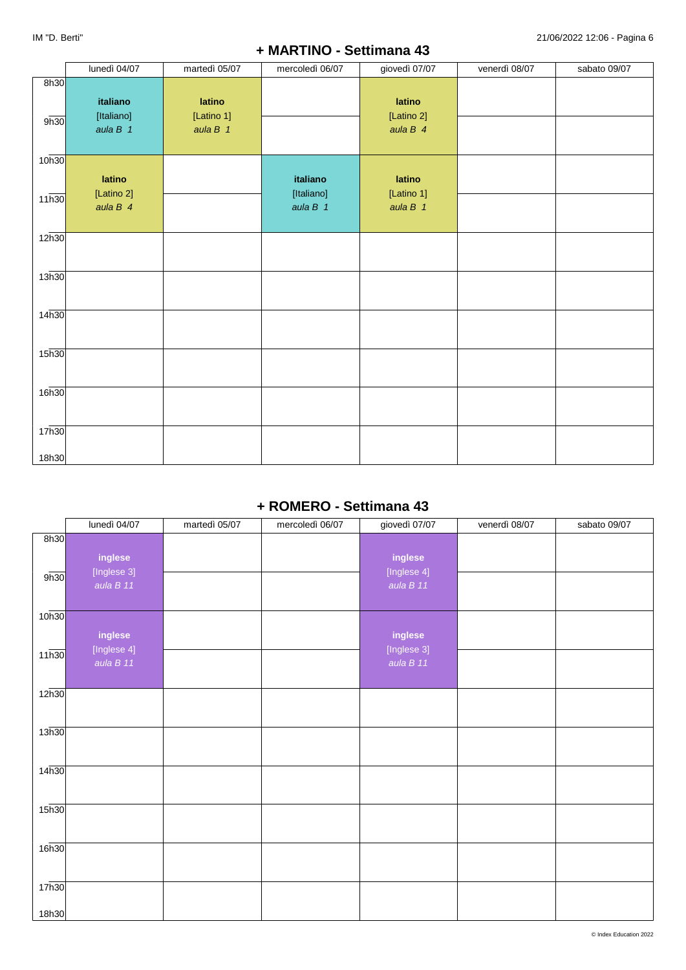### **+ MARTINO - Settimana 43**

|                    | lunedì 04/07                         | martedì 05/07                      | mercoledì 06/07                      | giovedì 07/07                      | venerdì 08/07 | sabato 09/07 |
|--------------------|--------------------------------------|------------------------------------|--------------------------------------|------------------------------------|---------------|--------------|
| 8h30               |                                      |                                    |                                      |                                    |               |              |
| 9h30               | italiano<br>[Italiano]<br>aula $B$ 1 | latino<br>[Latino 1]<br>aula $B$ 1 |                                      | latino<br>[Latino 2]<br>aula $B$ 4 |               |              |
| 10 <sub>h30</sub>  |                                      |                                    |                                      |                                    |               |              |
| $11\overline{h30}$ | latino<br>[Latino 2]<br>aula $B$ 4   |                                    | italiano<br>[Italiano]<br>aula $B$ 1 | latino<br>[Latino 1]<br>aula $B$ 1 |               |              |
| 12h30              |                                      |                                    |                                      |                                    |               |              |
| 13h30              |                                      |                                    |                                      |                                    |               |              |
|                    |                                      |                                    |                                      |                                    |               |              |
| 14 <sub>h30</sub>  |                                      |                                    |                                      |                                    |               |              |
| 15h30              |                                      |                                    |                                      |                                    |               |              |
| 16 <sub>h30</sub>  |                                      |                                    |                                      |                                    |               |              |
| 17 <sub>h30</sub>  |                                      |                                    |                                      |                                    |               |              |
| 18h30              |                                      |                                    |                                      |                                    |               |              |

### **+ ROMERO - Settimana 43**

|                   | lunedì 04/07                        | martedì 05/07 | mercoledì 06/07 | giovedì 07/07                       | venerdì 08/07 | sabato 09/07 |
|-------------------|-------------------------------------|---------------|-----------------|-------------------------------------|---------------|--------------|
| 8h30              |                                     |               |                 |                                     |               |              |
| 9h30              | inglese<br>[Inglese 3]<br>aula B 11 |               |                 | inglese<br>[Inglese 4]<br>aula B 11 |               |              |
| 10 <sub>h30</sub> |                                     |               |                 |                                     |               |              |
|                   | inglese                             |               |                 | inglese                             |               |              |
| 11h30             | [Inglese 4]<br>aula B 11            |               |                 | [Inglese 3]<br>aula B 11            |               |              |
| 12 <sub>h30</sub> |                                     |               |                 |                                     |               |              |
| 13h30             |                                     |               |                 |                                     |               |              |
| 14h30             |                                     |               |                 |                                     |               |              |
| 15 <sub>h30</sub> |                                     |               |                 |                                     |               |              |
| 16h30             |                                     |               |                 |                                     |               |              |
| 17h30             |                                     |               |                 |                                     |               |              |
| 18h30             |                                     |               |                 |                                     |               |              |